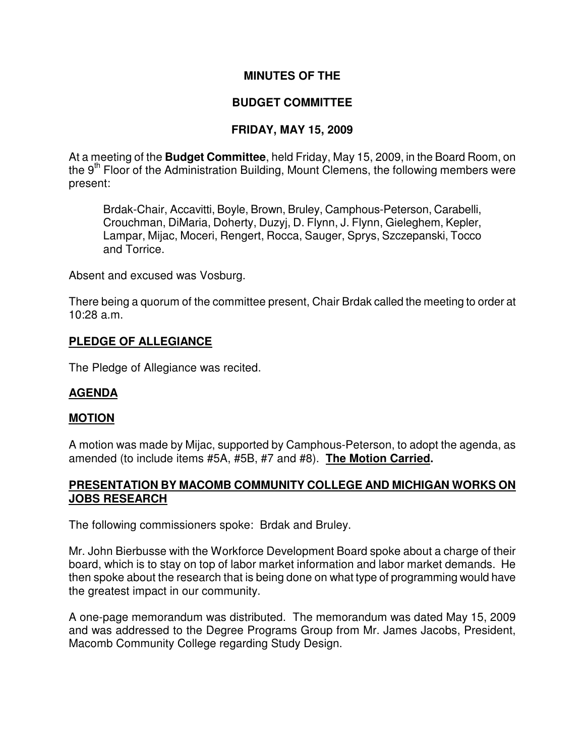## **MINUTES OF THE**

## **BUDGET COMMITTEE**

## **FRIDAY, MAY 15, 2009**

At a meeting of the **Budget Committee**, held Friday, May 15, 2009, in the Board Room, on the  $9<sup>th</sup>$  Floor of the Administration Building, Mount Clemens, the following members were present:

Brdak-Chair, Accavitti, Boyle, Brown, Bruley, Camphous-Peterson, Carabelli, Crouchman, DiMaria, Doherty, Duzyj, D. Flynn, J. Flynn, Gieleghem, Kepler, Lampar, Mijac, Moceri, Rengert, Rocca, Sauger, Sprys, Szczepanski, Tocco and Torrice.

Absent and excused was Vosburg.

There being a quorum of the committee present, Chair Brdak called the meeting to order at 10:28 a.m.

#### **PLEDGE OF ALLEGIANCE**

The Pledge of Allegiance was recited.

#### **AGENDA**

#### **MOTION**

A motion was made by Mijac, supported by Camphous-Peterson, to adopt the agenda, as amended (to include items #5A, #5B, #7 and #8). **The Motion Carried.** 

#### **PRESENTATION BY MACOMB COMMUNITY COLLEGE AND MICHIGAN WORKS ON JOBS RESEARCH**

The following commissioners spoke: Brdak and Bruley.

Mr. John Bierbusse with the Workforce Development Board spoke about a charge of their board, which is to stay on top of labor market information and labor market demands. He then spoke about the research that is being done on what type of programming would have the greatest impact in our community.

A one-page memorandum was distributed. The memorandum was dated May 15, 2009 and was addressed to the Degree Programs Group from Mr. James Jacobs, President, Macomb Community College regarding Study Design.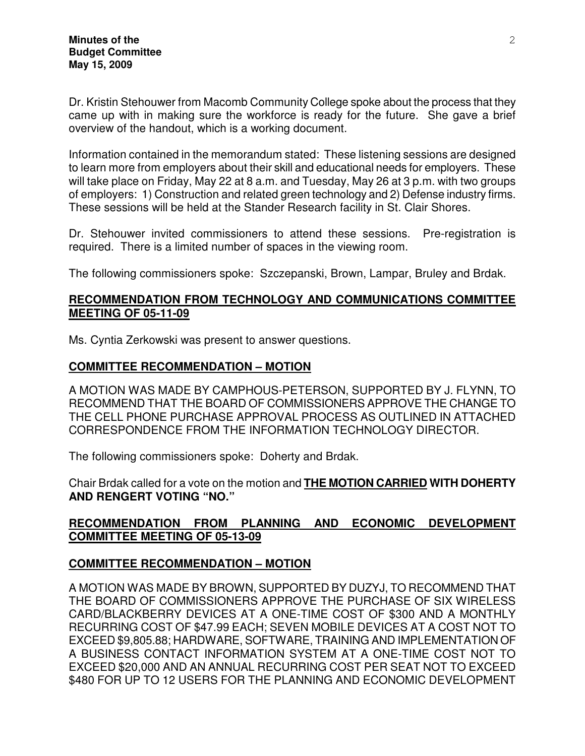Dr. Kristin Stehouwer from Macomb Community College spoke about the process that they came up with in making sure the workforce is ready for the future. She gave a brief overview of the handout, which is a working document.

Information contained in the memorandum stated: These listening sessions are designed to learn more from employers about their skill and educational needs for employers. These will take place on Friday, May 22 at 8 a.m. and Tuesday, May 26 at 3 p.m. with two groups of employers: 1) Construction and related green technology and 2) Defense industry firms. These sessions will be held at the Stander Research facility in St. Clair Shores.

Dr. Stehouwer invited commissioners to attend these sessions. Pre-registration is required. There is a limited number of spaces in the viewing room.

The following commissioners spoke: Szczepanski, Brown, Lampar, Bruley and Brdak.

### **RECOMMENDATION FROM TECHNOLOGY AND COMMUNICATIONS COMMITTEE MEETING OF 05-11-09**

Ms. Cyntia Zerkowski was present to answer questions.

## **COMMITTEE RECOMMENDATION – MOTION**

A MOTION WAS MADE BY CAMPHOUS-PETERSON, SUPPORTED BY J. FLYNN, TO RECOMMEND THAT THE BOARD OF COMMISSIONERS APPROVE THE CHANGE TO THE CELL PHONE PURCHASE APPROVAL PROCESS AS OUTLINED IN ATTACHED CORRESPONDENCE FROM THE INFORMATION TECHNOLOGY DIRECTOR.

The following commissioners spoke: Doherty and Brdak.

Chair Brdak called for a vote on the motion and **THE MOTION CARRIED WITH DOHERTY AND RENGERT VOTING "NO."** 

## **RECOMMENDATION FROM PLANNING AND ECONOMIC DEVELOPMENT COMMITTEE MEETING OF 05-13-09**

# **COMMITTEE RECOMMENDATION – MOTION**

A MOTION WAS MADE BY BROWN, SUPPORTED BY DUZYJ, TO RECOMMEND THAT THE BOARD OF COMMISSIONERS APPROVE THE PURCHASE OF SIX WIRELESS CARD/BLACKBERRY DEVICES AT A ONE-TIME COST OF \$300 AND A MONTHLY RECURRING COST OF \$47.99 EACH; SEVEN MOBILE DEVICES AT A COST NOT TO EXCEED \$9,805.88; HARDWARE, SOFTWARE, TRAINING AND IMPLEMENTATION OF A BUSINESS CONTACT INFORMATION SYSTEM AT A ONE-TIME COST NOT TO EXCEED \$20,000 AND AN ANNUAL RECURRING COST PER SEAT NOT TO EXCEED \$480 FOR UP TO 12 USERS FOR THE PLANNING AND ECONOMIC DEVELOPMENT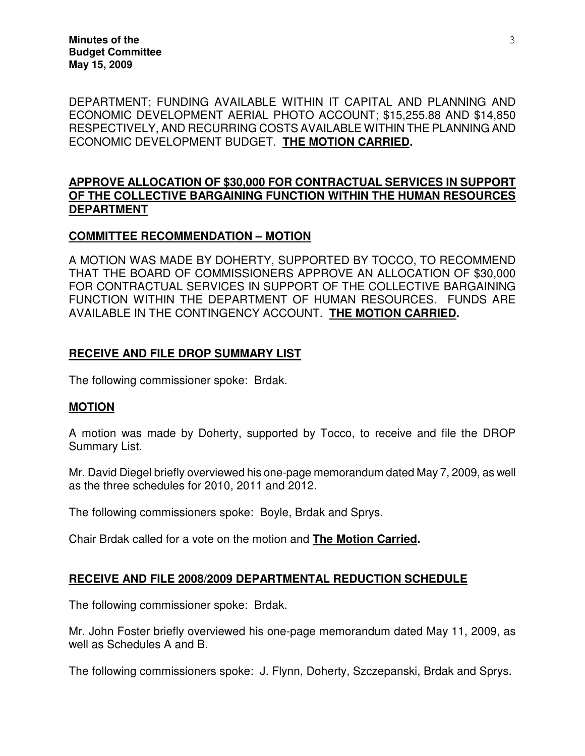**Minutes of the Budget Committee May 15, 2009** 

DEPARTMENT; FUNDING AVAILABLE WITHIN IT CAPITAL AND PLANNING AND ECONOMIC DEVELOPMENT AERIAL PHOTO ACCOUNT; \$15,255.88 AND \$14,850 RESPECTIVELY, AND RECURRING COSTS AVAILABLE WITHIN THE PLANNING AND ECONOMIC DEVELOPMENT BUDGET. **THE MOTION CARRIED.** 

# **APPROVE ALLOCATION OF \$30,000 FOR CONTRACTUAL SERVICES IN SUPPORT OF THE COLLECTIVE BARGAINING FUNCTION WITHIN THE HUMAN RESOURCES DEPARTMENT**

## **COMMITTEE RECOMMENDATION – MOTION**

A MOTION WAS MADE BY DOHERTY, SUPPORTED BY TOCCO, TO RECOMMEND THAT THE BOARD OF COMMISSIONERS APPROVE AN ALLOCATION OF \$30,000 FOR CONTRACTUAL SERVICES IN SUPPORT OF THE COLLECTIVE BARGAINING FUNCTION WITHIN THE DEPARTMENT OF HUMAN RESOURCES. FUNDS ARE AVAILABLE IN THE CONTINGENCY ACCOUNT. **THE MOTION CARRIED.** 

## **RECEIVE AND FILE DROP SUMMARY LIST**

The following commissioner spoke: Brdak.

#### **MOTION**

A motion was made by Doherty, supported by Tocco, to receive and file the DROP Summary List.

Mr. David Diegel briefly overviewed his one-page memorandum dated May 7, 2009, as well as the three schedules for 2010, 2011 and 2012.

The following commissioners spoke: Boyle, Brdak and Sprys.

Chair Brdak called for a vote on the motion and **The Motion Carried.** 

#### **RECEIVE AND FILE 2008/2009 DEPARTMENTAL REDUCTION SCHEDULE**

The following commissioner spoke: Brdak.

Mr. John Foster briefly overviewed his one-page memorandum dated May 11, 2009, as well as Schedules A and B.

The following commissioners spoke: J. Flynn, Doherty, Szczepanski, Brdak and Sprys.